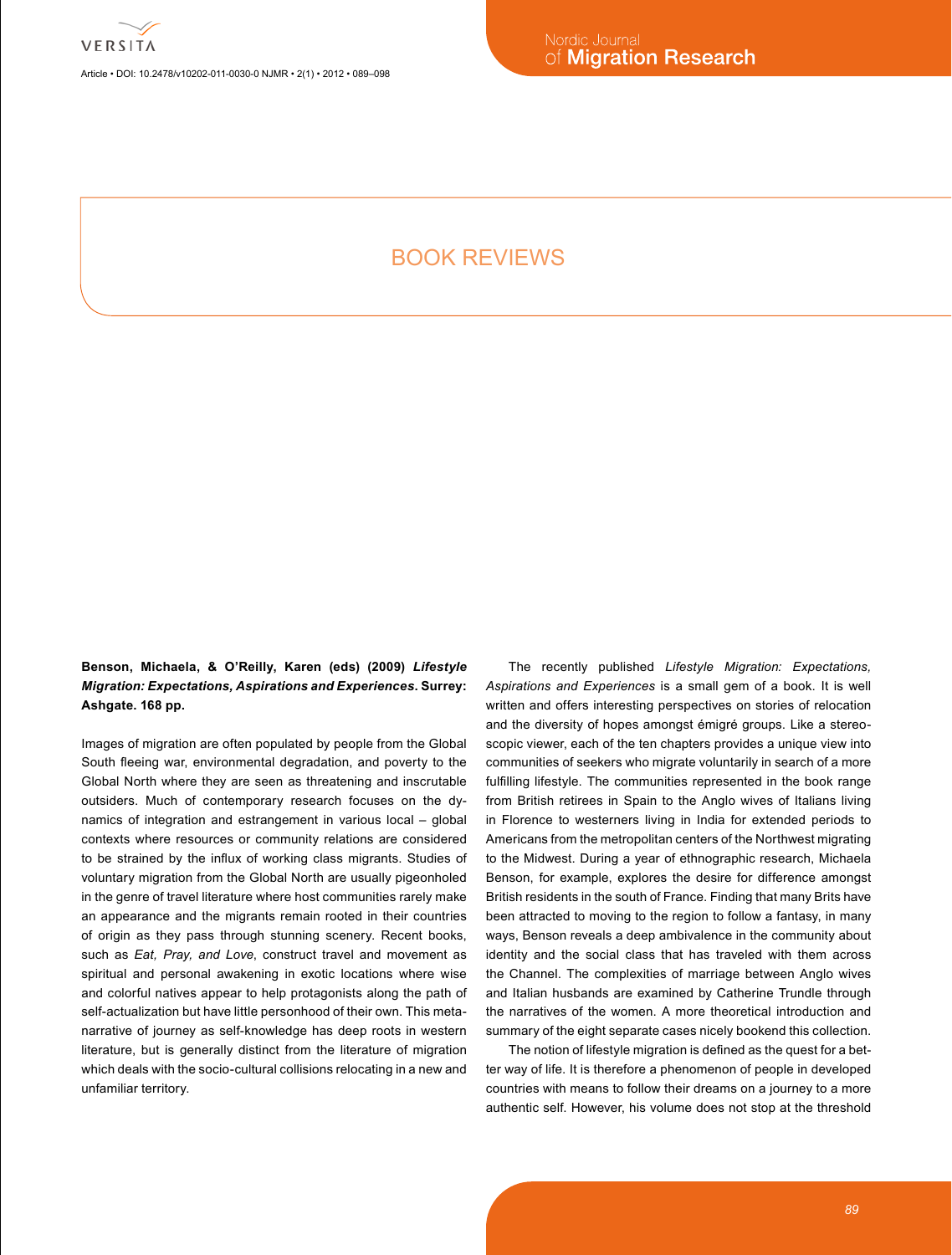

Article • DOI: 10.2478/v10202-011-0030-0 NJMR • 2(1) • 2012 • 089–098

# Book reviews

**Benson, Michaela, & O'Reilly, Karen (eds) (2009)** *Lifestyle Migration: Expectations, Aspirations and Experiences***. Surrey: Ashgate. 168 pp.**

Images of migration are often populated by people from the Global South fleeing war, environmental degradation, and poverty to the Global North where they are seen as threatening and inscrutable outsiders. Much of contemporary research focuses on the dynamics of integration and estrangement in various local – global contexts where resources or community relations are considered to be strained by the influx of working class migrants. Studies of voluntary migration from the Global North are usually pigeonholed in the genre of travel literature where host communities rarely make an appearance and the migrants remain rooted in their countries of origin as they pass through stunning scenery. Recent books, such as *Eat, Pray, and Love*, construct travel and movement as spiritual and personal awakening in exotic locations where wise and colorful natives appear to help protagonists along the path of self-actualization but have little personhood of their own. This metanarrative of journey as self-knowledge has deep roots in western literature, but is generally distinct from the literature of migration which deals with the socio-cultural collisions relocating in a new and unfamiliar territory.

The recently published *Lifestyle Migration: Expectations, Aspirations and Experiences* is a small gem of a book. It is well written and offers interesting perspectives on stories of relocation and the diversity of hopes amongst émigré groups. Like a stereoscopic viewer, each of the ten chapters provides a unique view into communities of seekers who migrate voluntarily in search of a more fulfilling lifestyle. The communities represented in the book range from British retirees in Spain to the Anglo wives of Italians living in Florence to westerners living in India for extended periods to Americans from the metropolitan centers of the Northwest migrating to the Midwest. During a year of ethnographic research, Michaela Benson, for example, explores the desire for difference amongst British residents in the south of France. Finding that many Brits have been attracted to moving to the region to follow a fantasy, in many ways, Benson reveals a deep ambivalence in the community about identity and the social class that has traveled with them across the Channel. The complexities of marriage between Anglo wives and Italian husbands are examined by Catherine Trundle through the narratives of the women. A more theoretical introduction and summary of the eight separate cases nicely bookend this collection.

The notion of lifestyle migration is defined as the quest for a better way of life. It is therefore a phenomenon of people in developed countries with means to follow their dreams on a journey to a more authentic self. However, his volume does not stop at the threshold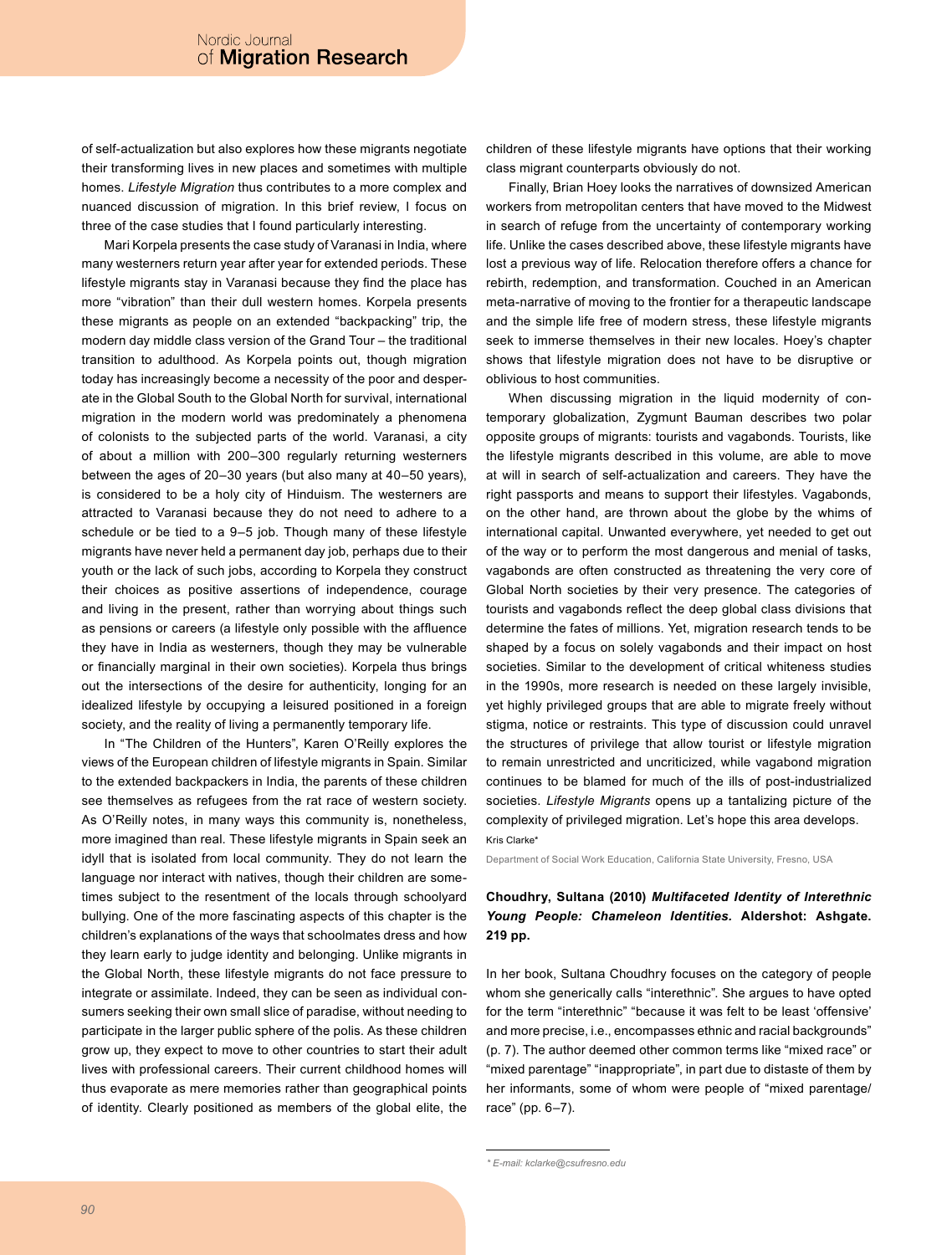of self-actualization but also explores how these migrants negotiate their transforming lives in new places and sometimes with multiple homes. *Lifestyle Migration* thus contributes to a more complex and nuanced discussion of migration. In this brief review, I focus on three of the case studies that I found particularly interesting.

Mari Korpela presents the case study of Varanasi in India, where many westerners return year after year for extended periods. These lifestyle migrants stay in Varanasi because they find the place has more "vibration" than their dull western homes. Korpela presents these migrants as people on an extended "backpacking" trip, the modern day middle class version of the Grand Tour – the traditional transition to adulthood. As Korpela points out, though migration today has increasingly become a necessity of the poor and desperate in the Global South to the Global North for survival, international migration in the modern world was predominately a phenomena of colonists to the subjected parts of the world. Varanasi, a city of about a million with 200–300 regularly returning westerners between the ages of 20–30 years (but also many at 40–50 years), is considered to be a holy city of Hinduism. The westerners are attracted to Varanasi because they do not need to adhere to a schedule or be tied to a 9–5 job. Though many of these lifestyle migrants have never held a permanent day job, perhaps due to their youth or the lack of such jobs, according to Korpela they construct their choices as positive assertions of independence, courage and living in the present, rather than worrying about things such as pensions or careers (a lifestyle only possible with the affluence they have in India as westerners, though they may be vulnerable or financially marginal in their own societies). Korpela thus brings out the intersections of the desire for authenticity, longing for an idealized lifestyle by occupying a leisured positioned in a foreign society, and the reality of living a permanently temporary life.

In "The Children of the Hunters", Karen O'Reilly explores the views of the European children of lifestyle migrants in Spain. Similar to the extended backpackers in India, the parents of these children see themselves as refugees from the rat race of western society. As O'Reilly notes, in many ways this community is, nonetheless, more imagined than real. These lifestyle migrants in Spain seek an idyll that is isolated from local community. They do not learn the language nor interact with natives, though their children are sometimes subject to the resentment of the locals through schoolyard bullying. One of the more fascinating aspects of this chapter is the children's explanations of the ways that schoolmates dress and how they learn early to judge identity and belonging. Unlike migrants in the Global North, these lifestyle migrants do not face pressure to integrate or assimilate. Indeed, they can be seen as individual consumers seeking their own small slice of paradise, without needing to participate in the larger public sphere of the polis. As these children grow up, they expect to move to other countries to start their adult lives with professional careers. Their current childhood homes will thus evaporate as mere memories rather than geographical points of identity. Clearly positioned as members of the global elite, the

children of these lifestyle migrants have options that their working class migrant counterparts obviously do not.

Finally, Brian Hoey looks the narratives of downsized American workers from metropolitan centers that have moved to the Midwest in search of refuge from the uncertainty of contemporary working life. Unlike the cases described above, these lifestyle migrants have lost a previous way of life. Relocation therefore offers a chance for rebirth, redemption, and transformation. Couched in an American meta-narrative of moving to the frontier for a therapeutic landscape and the simple life free of modern stress, these lifestyle migrants seek to immerse themselves in their new locales. Hoey's chapter shows that lifestyle migration does not have to be disruptive or oblivious to host communities.

When discussing migration in the liquid modernity of contemporary globalization, Zygmunt Bauman describes two polar opposite groups of migrants: tourists and vagabonds. Tourists, like the lifestyle migrants described in this volume, are able to move at will in search of self-actualization and careers. They have the right passports and means to support their lifestyles. Vagabonds, on the other hand, are thrown about the globe by the whims of international capital. Unwanted everywhere, yet needed to get out of the way or to perform the most dangerous and menial of tasks, vagabonds are often constructed as threatening the very core of Global North societies by their very presence. The categories of tourists and vagabonds reflect the deep global class divisions that determine the fates of millions. Yet, migration research tends to be shaped by a focus on solely vagabonds and their impact on host societies. Similar to the development of critical whiteness studies in the 1990s, more research is needed on these largely invisible, yet highly privileged groups that are able to migrate freely without stigma, notice or restraints. This type of discussion could unravel the structures of privilege that allow tourist or lifestyle migration to remain unrestricted and uncriticized, while vagabond migration continues to be blamed for much of the ills of post-industrialized societies. *Lifestyle Migrants* opens up a tantalizing picture of the complexity of privileged migration. Let's hope this area develops.

Kris Clarke\*

Department of Social Work Education, California State University, Fresno, USA

## **Choudhry, Sultana (2010)** *Multifaceted Identity of Interethnic Young People: Chameleon Identities.* **Aldershot: Ashgate. 219 pp.**

In her book, Sultana Choudhry focuses on the category of people whom she generically calls "interethnic". She argues to have opted for the term "interethnic" "because it was felt to be least 'offensive' and more precise, i.e., encompasses ethnic and racial backgrounds" (p. 7). The author deemed other common terms like "mixed race" or "mixed parentage" "inappropriate", in part due to distaste of them by her informants, some of whom were people of "mixed parentage/ race" (pp. 6–7).

*<sup>\*</sup> E-mail: kclarke@csufresno.edu*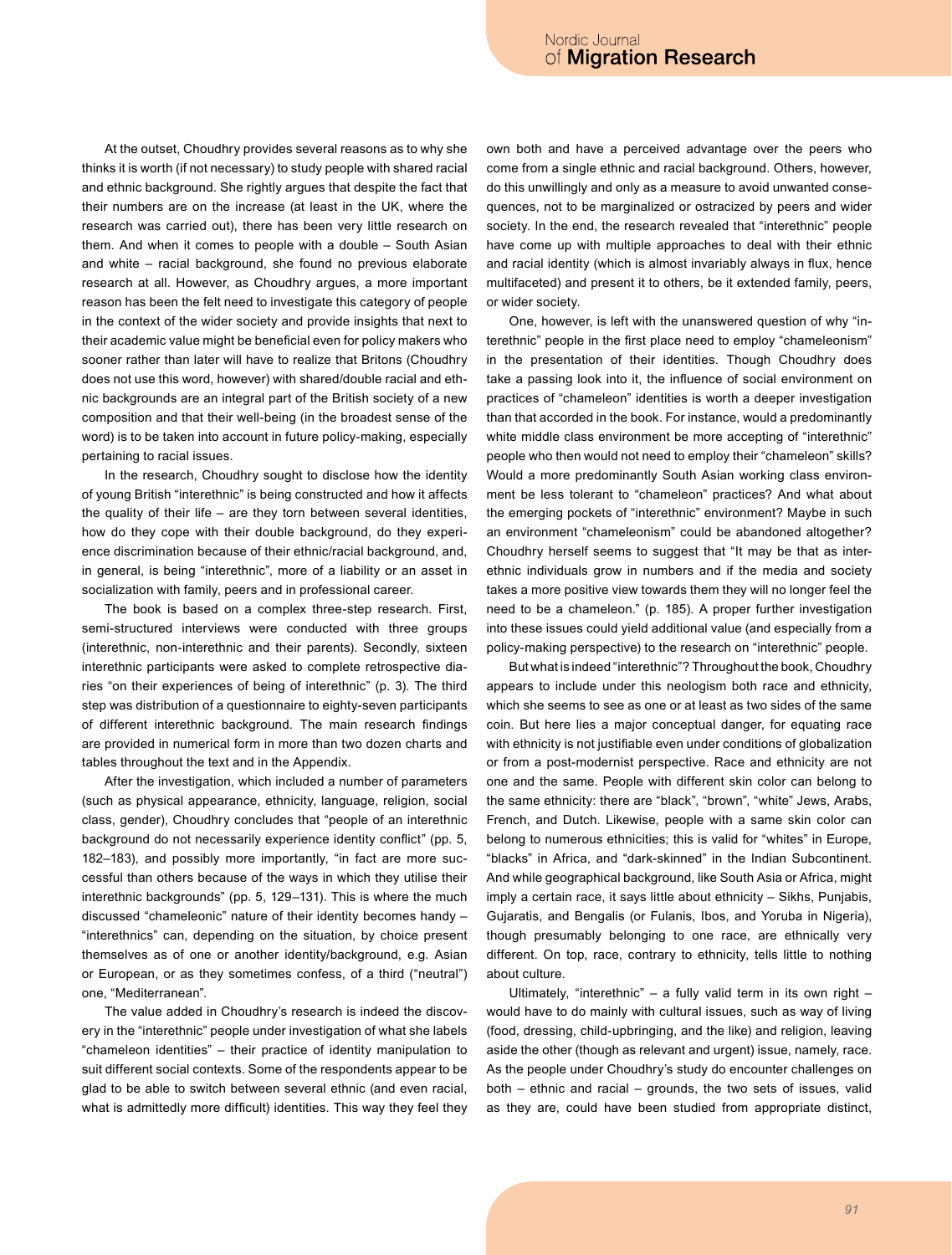At the outset, Choudhry provides several reasons as to why she thinks it is worth (if not necessary) to study people with shared racial and ethnic background. She rightly argues that despite the fact that their numbers are on the increase (at least in the UK, where the research was carried out), there has been very little research on them. And when it comes to people with a double – South Asian and white – racial background, she found no previous elaborate research at all. However, as Choudhry argues, a more important reason has been the felt need to investigate this category of people in the context of the wider society and provide insights that next to their academic value might be beneficial even for policy makers who sooner rather than later will have to realize that Britons (Choudhry does not use this word, however) with shared/double racial and ethnic backgrounds are an integral part of the British society of a new composition and that their well-being (in the broadest sense of the word) is to be taken into account in future policy-making, especially pertaining to racial issues.

In the research, Choudhry sought to disclose how the identity of young British "interethnic" is being constructed and how it affects the quality of their life – are they torn between several identities, how do they cope with their double background, do they experience discrimination because of their ethnic/racial background, and, in general, is being "interethnic", more of a liability or an asset in socialization with family, peers and in professional career.

The book is based on a complex three-step research. First, semi-structured interviews were conducted with three groups (interethnic, non-interethnic and their parents). Secondly, sixteen interethnic participants were asked to complete retrospective diaries "on their experiences of being of interethnic" (p. 3). The third step was distribution of a questionnaire to eighty-seven participants of different interethnic background. The main research findings are provided in numerical form in more than two dozen charts and tables throughout the text and in the Appendix.

After the investigation, which included a number of parameters (such as physical appearance, ethnicity, language, religion, social class, gender), Choudhry concludes that "people of an interethnic background do not necessarily experience identity conflict" (pp. 5, 182–183), and possibly more importantly, "in fact are more successful than others because of the ways in which they utilise their interethnic backgrounds" (pp. 5, 129–131). This is where the much discussed "chameleonic" nature of their identity becomes handy – "interethnics" can, depending on the situation, by choice present themselves as of one or another identity/background, e.g. Asian or European, or as they sometimes confess, of a third ("neutral") one, "Mediterranean".

The value added in Choudhry's research is indeed the discovery in the "interethnic" people under investigation of what she labels "chameleon identities" – their practice of identity manipulation to suit different social contexts. Some of the respondents appear to be glad to be able to switch between several ethnic (and even racial, what is admittedly more difficult) identities. This way they feel they own both and have a perceived advantage over the peers who come from a single ethnic and racial background. Others, however, do this unwillingly and only as a measure to avoid unwanted consequences, not to be marginalized or ostracized by peers and wider society. In the end, the research revealed that "interethnic" people have come up with multiple approaches to deal with their ethnic and racial identity (which is almost invariably always in flux, hence multifaceted) and present it to others, be it extended family, peers, or wider society.

One, however, is left with the unanswered question of why "interethnic" people in the first place need to employ "chameleonism" in the presentation of their identities. Though Choudhry does take a passing look into it, the influence of social environment on practices of "chameleon" identities is worth a deeper investigation than that accorded in the book. For instance, would a predominantly white middle class environment be more accepting of "interethnic" people who then would not need to employ their "chameleon" skills? Would a more predominantly South Asian working class environment be less tolerant to "chameleon" practices? And what about the emerging pockets of "interethnic" environment? Maybe in such an environment "chameleonism" could be abandoned altogether? Choudhry herself seems to suggest that "It may be that as interethnic individuals grow in numbers and if the media and society takes a more positive view towards them they will no longer feel the need to be a chameleon." (p. 185). A proper further investigation into these issues could yield additional value (and especially from a policy-making perspective) to the research on "interethnic" people.

But what is indeed "interethnic"? Throughout the book, Choudhry appears to include under this neologism both race and ethnicity, which she seems to see as one or at least as two sides of the same coin. But here lies a major conceptual danger, for equating race with ethnicity is not justifiable even under conditions of globalization or from a post-modernist perspective. Race and ethnicity are not one and the same. People with different skin color can belong to the same ethnicity: there are "black", "brown", "white" Jews, Arabs, French, and Dutch. Likewise, people with a same skin color can belong to numerous ethnicities; this is valid for "whites" in Europe, "blacks" in Africa, and "dark-skinned" in the Indian Subcontinent. And while geographical background, like South Asia or Africa, might imply a certain race, it says little about ethnicity – Sikhs, Punjabis, Gujaratis, and Bengalis (or Fulanis, Ibos, and Yoruba in Nigeria), though presumably belonging to one race, are ethnically very different. On top, race, contrary to ethnicity, tells little to nothing about culture.

Ultimately, "interethnic" – a fully valid term in its own right – would have to do mainly with cultural issues, such as way of living (food, dressing, child-upbringing, and the like) and religion, leaving aside the other (though as relevant and urgent) issue, namely, race. As the people under Choudhry's study do encounter challenges on both – ethnic and racial – grounds, the two sets of issues, valid as they are, could have been studied from appropriate distinct,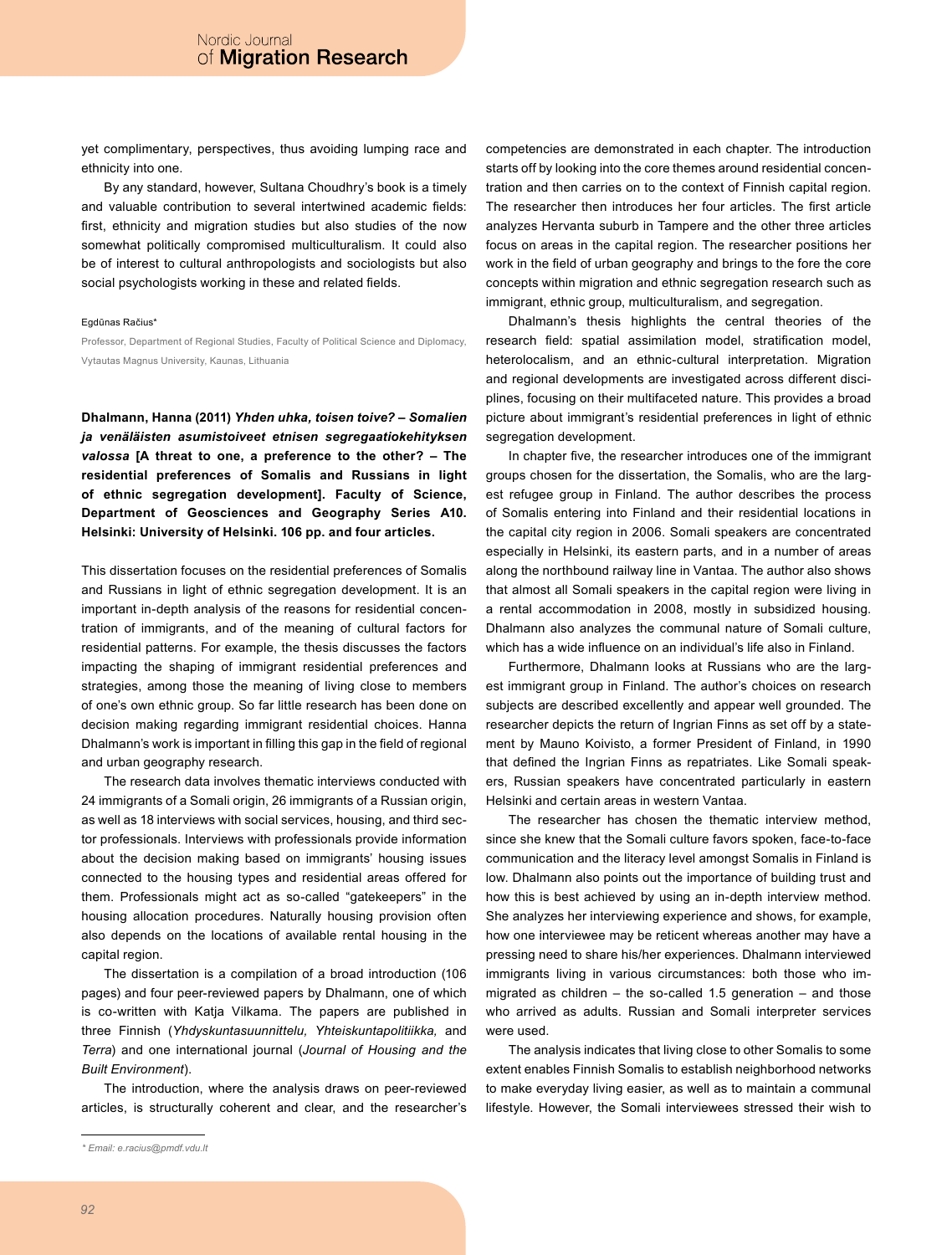yet complimentary, perspectives, thus avoiding lumping race and ethnicity into one.

By any standard, however, Sultana Choudhry's book is a timely and valuable contribution to several intertwined academic fields: first, ethnicity and migration studies but also studies of the now somewhat politically compromised multiculturalism. It could also be of interest to cultural anthropologists and sociologists but also social psychologists working in these and related fields.

#### Egdūnas Račius\*

Professor, Department of Regional Studies, Faculty of Political Science and Diplomacy, Vytautas Magnus University, Kaunas, Lithuania

**Dhalmann, Hanna (2011)** *Yhden uhka, toisen toive? – Somalien ja venäläisten asumistoiveet etnisen segregaatiokehityksen valossa* **[A threat to one, a preference to the other? – The residential preferences of Somalis and Russians in light of ethnic segregation development]. Faculty of Science, Department of Geosciences and Geography Series A10. Helsinki: University of Helsinki. 106 pp. and four articles.**

This dissertation focuses on the residential preferences of Somalis and Russians in light of ethnic segregation development. It is an important in-depth analysis of the reasons for residential concentration of immigrants, and of the meaning of cultural factors for residential patterns. For example, the thesis discusses the factors impacting the shaping of immigrant residential preferences and strategies, among those the meaning of living close to members of one's own ethnic group. So far little research has been done on decision making regarding immigrant residential choices. Hanna Dhalmann's work is important in filling this gap in the field of regional and urban geography research.

The research data involves thematic interviews conducted with 24 immigrants of a Somali origin, 26 immigrants of a Russian origin, as well as 18 interviews with social services, housing, and third sector professionals. Interviews with professionals provide information about the decision making based on immigrants' housing issues connected to the housing types and residential areas offered for them. Professionals might act as so-called "gatekeepers" in the housing allocation procedures. Naturally housing provision often also depends on the locations of available rental housing in the capital region.

The dissertation is a compilation of a broad introduction (106 pages) and four peer-reviewed papers by Dhalmann, one of which is co-written with Katja Vilkama. The papers are published in three Finnish (*Yhdyskuntasuunnittelu, Yhteiskuntapolitiikka,* and *Terra*) and one international journal (*Journal of Housing and the Built Environment*).

The introduction, where the analysis draws on peer-reviewed articles, is structurally coherent and clear, and the researcher's competencies are demonstrated in each chapter. The introduction starts off by looking into the core themes around residential concentration and then carries on to the context of Finnish capital region. The researcher then introduces her four articles. The first article analyzes Hervanta suburb in Tampere and the other three articles focus on areas in the capital region. The researcher positions her work in the field of urban geography and brings to the fore the core concepts within migration and ethnic segregation research such as immigrant, ethnic group, multiculturalism, and segregation.

Dhalmann's thesis highlights the central theories of the research field: spatial assimilation model, stratification model, heterolocalism, and an ethnic-cultural interpretation. Migration and regional developments are investigated across different disciplines, focusing on their multifaceted nature. This provides a broad picture about immigrant's residential preferences in light of ethnic segregation development.

In chapter five, the researcher introduces one of the immigrant groups chosen for the dissertation, the Somalis, who are the largest refugee group in Finland. The author describes the process of Somalis entering into Finland and their residential locations in the capital city region in 2006. Somali speakers are concentrated especially in Helsinki, its eastern parts, and in a number of areas along the northbound railway line in Vantaa. The author also shows that almost all Somali speakers in the capital region were living in a rental accommodation in 2008, mostly in subsidized housing. Dhalmann also analyzes the communal nature of Somali culture, which has a wide influence on an individual's life also in Finland.

Furthermore, Dhalmann looks at Russians who are the largest immigrant group in Finland. The author's choices on research subjects are described excellently and appear well grounded. The researcher depicts the return of Ingrian Finns as set off by a statement by Mauno Koivisto, a former President of Finland, in 1990 that defined the Ingrian Finns as repatriates. Like Somali speakers, Russian speakers have concentrated particularly in eastern Helsinki and certain areas in western Vantaa.

The researcher has chosen the thematic interview method, since she knew that the Somali culture favors spoken, face-to-face communication and the literacy level amongst Somalis in Finland is low. Dhalmann also points out the importance of building trust and how this is best achieved by using an in-depth interview method. She analyzes her interviewing experience and shows, for example, how one interviewee may be reticent whereas another may have a pressing need to share his/her experiences. Dhalmann interviewed immigrants living in various circumstances: both those who immigrated as children – the so-called 1.5 generation – and those who arrived as adults. Russian and Somali interpreter services were used.

The analysis indicates that living close to other Somalis to some extent enables Finnish Somalis to establish neighborhood networks to make everyday living easier, as well as to maintain a communal lifestyle. However, the Somali interviewees stressed their wish to

*<sup>\*</sup> Email: e.racius@pmdf.vdu.lt*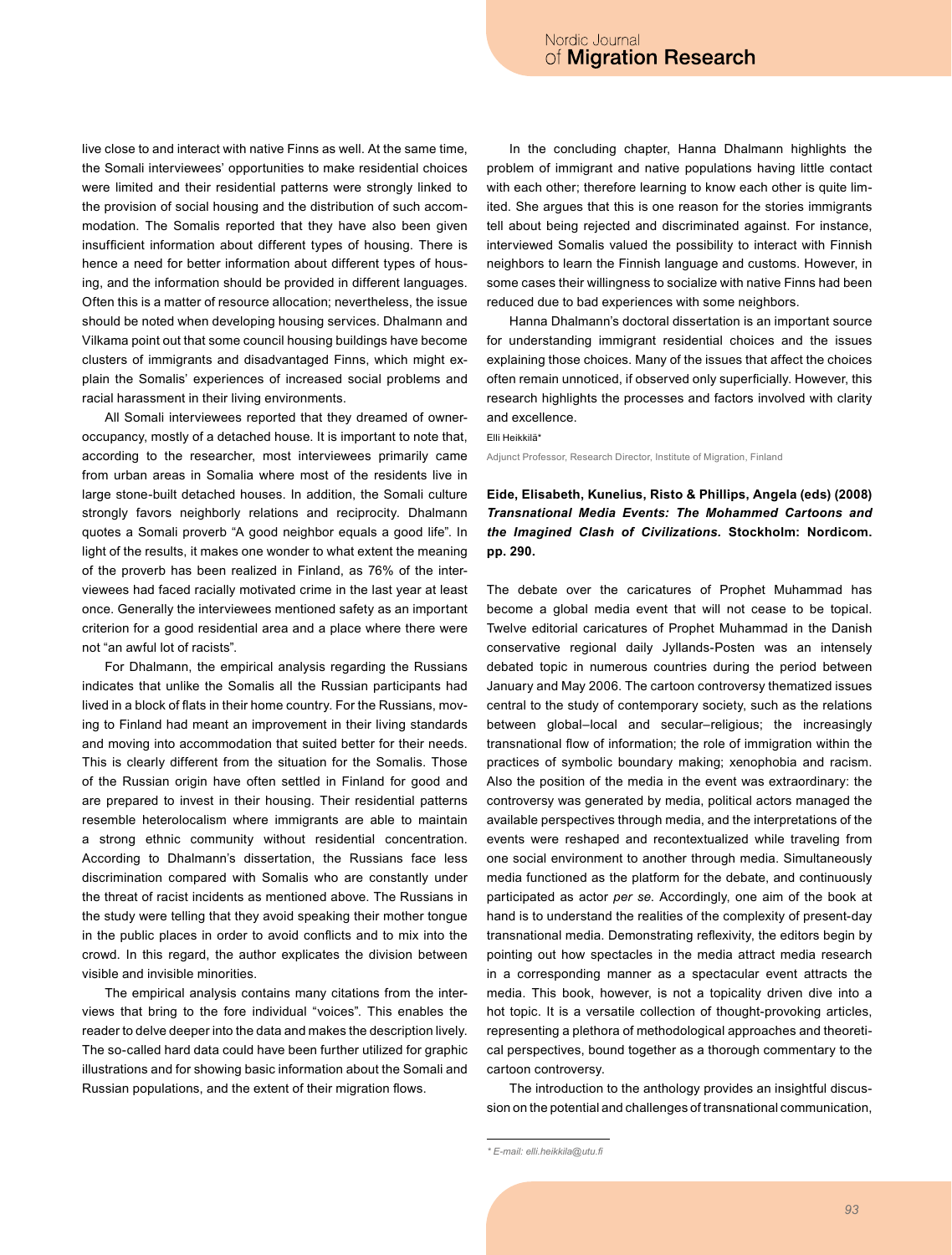live close to and interact with native Finns as well. At the same time, the Somali interviewees' opportunities to make residential choices were limited and their residential patterns were strongly linked to the provision of social housing and the distribution of such accommodation. The Somalis reported that they have also been given insufficient information about different types of housing. There is hence a need for better information about different types of housing, and the information should be provided in different languages. Often this is a matter of resource allocation; nevertheless, the issue should be noted when developing housing services. Dhalmann and Vilkama point out that some council housing buildings have become clusters of immigrants and disadvantaged Finns, which might explain the Somalis' experiences of increased social problems and racial harassment in their living environments.

All Somali interviewees reported that they dreamed of owneroccupancy, mostly of a detached house. It is important to note that, according to the researcher, most interviewees primarily came from urban areas in Somalia where most of the residents live in large stone-built detached houses. In addition, the Somali culture strongly favors neighborly relations and reciprocity. Dhalmann quotes a Somali proverb "A good neighbor equals a good life". In light of the results, it makes one wonder to what extent the meaning of the proverb has been realized in Finland, as 76% of the interviewees had faced racially motivated crime in the last year at least once. Generally the interviewees mentioned safety as an important criterion for a good residential area and a place where there were not "an awful lot of racists".

For Dhalmann, the empirical analysis regarding the Russians indicates that unlike the Somalis all the Russian participants had lived in a block of flats in their home country. For the Russians, moving to Finland had meant an improvement in their living standards and moving into accommodation that suited better for their needs. This is clearly different from the situation for the Somalis. Those of the Russian origin have often settled in Finland for good and are prepared to invest in their housing. Their residential patterns resemble heterolocalism where immigrants are able to maintain a strong ethnic community without residential concentration. According to Dhalmann's dissertation, the Russians face less discrimination compared with Somalis who are constantly under the threat of racist incidents as mentioned above. The Russians in the study were telling that they avoid speaking their mother tongue in the public places in order to avoid conflicts and to mix into the crowd. In this regard, the author explicates the division between visible and invisible minorities.

The empirical analysis contains many citations from the interviews that bring to the fore individual "voices". This enables the reader to delve deeper into the data and makes the description lively. The so-called hard data could have been further utilized for graphic illustrations and for showing basic information about the Somali and Russian populations, and the extent of their migration flows.

In the concluding chapter, Hanna Dhalmann highlights the problem of immigrant and native populations having little contact with each other; therefore learning to know each other is quite limited. She argues that this is one reason for the stories immigrants tell about being rejected and discriminated against. For instance, interviewed Somalis valued the possibility to interact with Finnish neighbors to learn the Finnish language and customs. However, in some cases their willingness to socialize with native Finns had been reduced due to bad experiences with some neighbors.

Hanna Dhalmann's doctoral dissertation is an important source for understanding immigrant residential choices and the issues explaining those choices. Many of the issues that affect the choices often remain unnoticed, if observed only superficially. However, this research highlights the processes and factors involved with clarity and excellence.

Elli Heikkilä\*

Adjunct Professor, Research Director, Institute of Migration, Finland

**Eide, Elisabeth, Kunelius, Risto & Phillips, Angela (eds) (2008)**  *Transnational Media Events: The Mohammed Cartoons and the Imagined Clash of Civilizations.* **Stockholm: Nordicom. pp. 290.**

The debate over the caricatures of Prophet Muhammad has become a global media event that will not cease to be topical. Twelve editorial caricatures of Prophet Muhammad in the Danish conservative regional daily Jyllands-Posten was an intensely debated topic in numerous countries during the period between January and May 2006. The cartoon controversy thematized issues central to the study of contemporary society, such as the relations between global–local and secular–religious; the increasingly transnational flow of information; the role of immigration within the practices of symbolic boundary making; xenophobia and racism. Also the position of the media in the event was extraordinary: the controversy was generated by media, political actors managed the available perspectives through media, and the interpretations of the events were reshaped and recontextualized while traveling from one social environment to another through media. Simultaneously media functioned as the platform for the debate, and continuously participated as actor *per se*. Accordingly, one aim of the book at hand is to understand the realities of the complexity of present-day transnational media. Demonstrating reflexivity, the editors begin by pointing out how spectacles in the media attract media research in a corresponding manner as a spectacular event attracts the media. This book, however, is not a topicality driven dive into a hot topic. It is a versatile collection of thought-provoking articles, representing a plethora of methodological approaches and theoretical perspectives, bound together as a thorough commentary to the cartoon controversy.

The introduction to the anthology provides an insightful discussion on the potential and challenges of transnational communication,

*<sup>\*</sup> E-mail: [elli.heikkila@utu.fi](https://email.jyu.fi/OWA/redir.aspx?C=dff0c78e920042bb9ed092945c46963d&URL=mailto%3aelli.heikkila%40utu.fi)*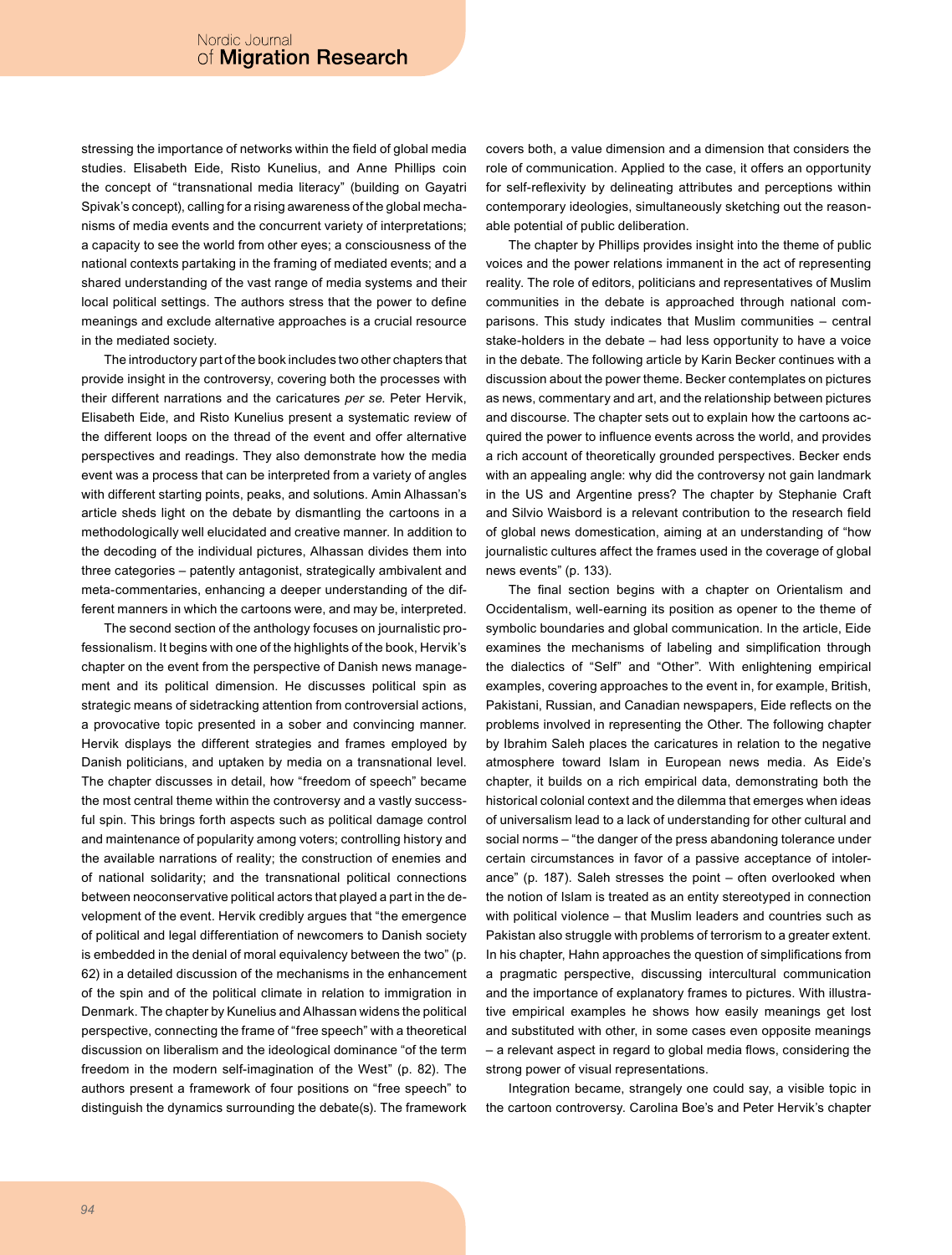stressing the importance of networks within the field of global media studies. Elisabeth Eide, Risto Kunelius, and Anne Phillips coin the concept of "transnational media literacy" (building on Gayatri Spivak's concept), calling for a rising awareness of the global mechanisms of media events and the concurrent variety of interpretations; a capacity to see the world from other eyes; a consciousness of the national contexts partaking in the framing of mediated events; and a shared understanding of the vast range of media systems and their local political settings. The authors stress that the power to define meanings and exclude alternative approaches is a crucial resource in the mediated society.

The introductory part of the book includes two other chapters that provide insight in the controversy, covering both the processes with their different narrations and the caricatures *per se*. Peter Hervik, Elisabeth Eide, and Risto Kunelius present a systematic review of the different loops on the thread of the event and offer alternative perspectives and readings. They also demonstrate how the media event was a process that can be interpreted from a variety of angles with different starting points, peaks, and solutions. Amin Alhassan's article sheds light on the debate by dismantling the cartoons in a methodologically well elucidated and creative manner. In addition to the decoding of the individual pictures, Alhassan divides them into three categories – patently antagonist, strategically ambivalent and meta-commentaries, enhancing a deeper understanding of the different manners in which the cartoons were, and may be, interpreted.

The second section of the anthology focuses on journalistic professionalism. It begins with one of the highlights of the book, Hervik's chapter on the event from the perspective of Danish news management and its political dimension. He discusses political spin as strategic means of sidetracking attention from controversial actions, a provocative topic presented in a sober and convincing manner. Hervik displays the different strategies and frames employed by Danish politicians, and uptaken by media on a transnational level. The chapter discusses in detail, how "freedom of speech" became the most central theme within the controversy and a vastly successful spin. This brings forth aspects such as political damage control and maintenance of popularity among voters; controlling history and the available narrations of reality; the construction of enemies and of national solidarity; and the transnational political connections between neoconservative political actors that played a part in the development of the event. Hervik credibly argues that "the emergence of political and legal differentiation of newcomers to Danish society is embedded in the denial of moral equivalency between the two" (p. 62) in a detailed discussion of the mechanisms in the enhancement of the spin and of the political climate in relation to immigration in Denmark. The chapter by Kunelius and Alhassan widens the political perspective, connecting the frame of "free speech" with a theoretical discussion on liberalism and the ideological dominance "of the term freedom in the modern self-imagination of the West" (p. 82). The authors present a framework of four positions on "free speech" to distinguish the dynamics surrounding the debate(s). The framework

covers both, a value dimension and a dimension that considers the role of communication. Applied to the case, it offers an opportunity for self-reflexivity by delineating attributes and perceptions within contemporary ideologies, simultaneously sketching out the reasonable potential of public deliberation.

The chapter by Phillips provides insight into the theme of public voices and the power relations immanent in the act of representing reality. The role of editors, politicians and representatives of Muslim communities in the debate is approached through national comparisons. This study indicates that Muslim communities – central stake-holders in the debate – had less opportunity to have a voice in the debate. The following article by Karin Becker continues with a discussion about the power theme. Becker contemplates on pictures as news, commentary and art, and the relationship between pictures and discourse. The chapter sets out to explain how the cartoons acquired the power to influence events across the world, and provides a rich account of theoretically grounded perspectives. Becker ends with an appealing angle: why did the controversy not gain landmark in the US and Argentine press? The chapter by Stephanie Craft and Silvio Waisbord is a relevant contribution to the research field of global news domestication, aiming at an understanding of "how journalistic cultures affect the frames used in the coverage of global news events" (p. 133).

The final section begins with a chapter on Orientalism and Occidentalism, well-earning its position as opener to the theme of symbolic boundaries and global communication. In the article, Eide examines the mechanisms of labeling and simplification through the dialectics of "Self" and "Other". With enlightening empirical examples, covering approaches to the event in, for example, British, Pakistani, Russian, and Canadian newspapers, Eide reflects on the problems involved in representing the Other. The following chapter by Ibrahim Saleh places the caricatures in relation to the negative atmosphere toward Islam in European news media. As Eide's chapter, it builds on a rich empirical data, demonstrating both the historical colonial context and the dilemma that emerges when ideas of universalism lead to a lack of understanding for other cultural and social norms – "the danger of the press abandoning tolerance under certain circumstances in favor of a passive acceptance of intolerance" (p. 187). Saleh stresses the point – often overlooked when the notion of Islam is treated as an entity stereotyped in connection with political violence – that Muslim leaders and countries such as Pakistan also struggle with problems of terrorism to a greater extent. In his chapter, Hahn approaches the question of simplifications from a pragmatic perspective, discussing intercultural communication and the importance of explanatory frames to pictures. With illustrative empirical examples he shows how easily meanings get lost and substituted with other, in some cases even opposite meanings – a relevant aspect in regard to global media flows, considering the strong power of visual representations.

Integration became, strangely one could say, a visible topic in the cartoon controversy. Carolina Boe's and Peter Hervik's chapter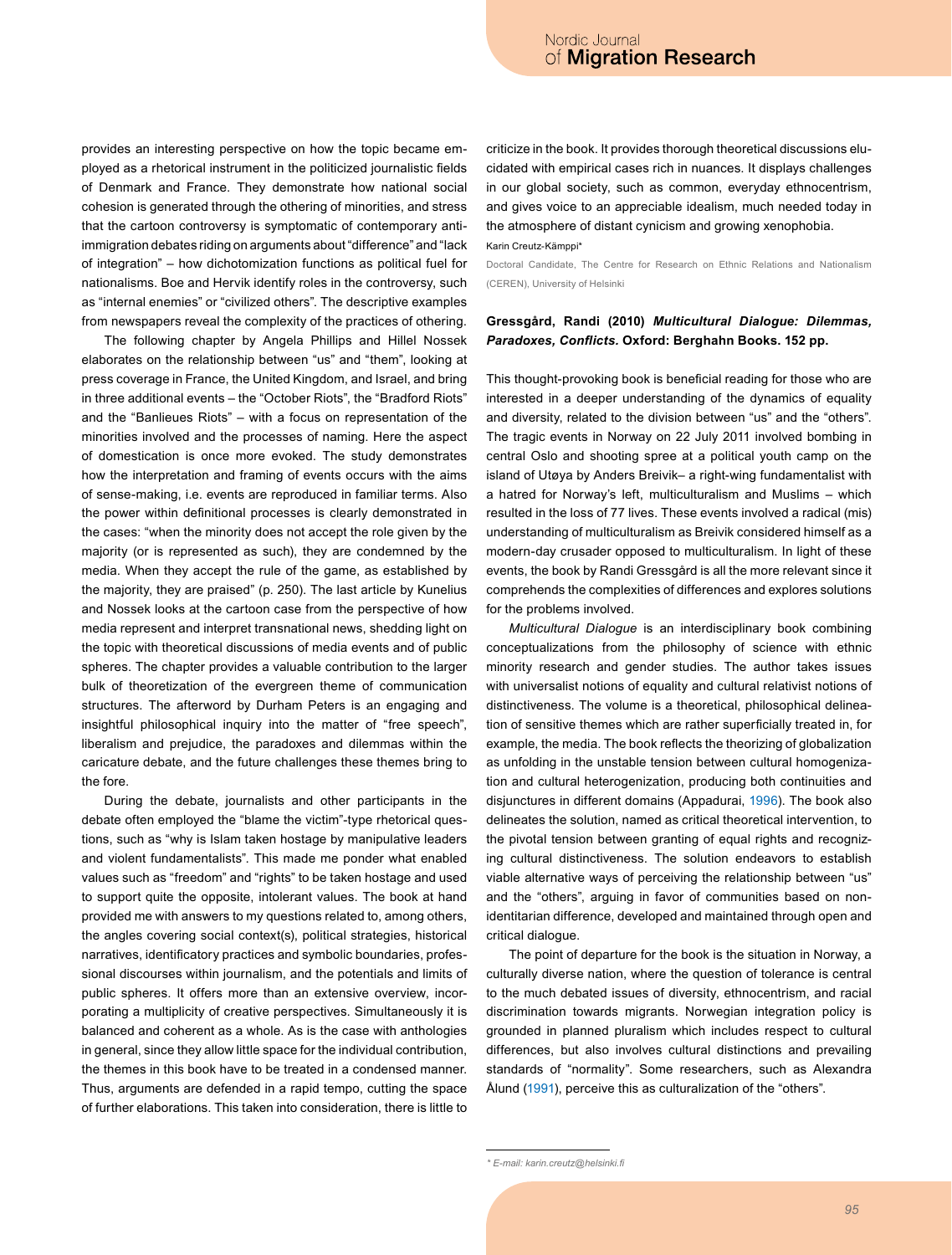provides an interesting perspective on how the topic became employed as a rhetorical instrument in the politicized journalistic fields of Denmark and France. They demonstrate how national social cohesion is generated through the othering of minorities, and stress that the cartoon controversy is symptomatic of contemporary antiimmigration debates riding on arguments about "difference" and "lack of integration" – how dichotomization functions as political fuel for nationalisms. Boe and Hervik identify roles in the controversy, such as "internal enemies" or "civilized others". The descriptive examples from newspapers reveal the complexity of the practices of othering.

The following chapter by Angela Phillips and Hillel Nossek elaborates on the relationship between "us" and "them", looking at press coverage in France, the United Kingdom, and Israel, and bring in three additional events – the "October Riots", the "Bradford Riots" and the "Banlieues Riots" – with a focus on representation of the minorities involved and the processes of naming. Here the aspect of domestication is once more evoked. The study demonstrates how the interpretation and framing of events occurs with the aims of sense-making, i.e. events are reproduced in familiar terms. Also the power within definitional processes is clearly demonstrated in the cases: "when the minority does not accept the role given by the majority (or is represented as such), they are condemned by the media. When they accept the rule of the game, as established by the majority, they are praised" (p. 250). The last article by Kunelius and Nossek looks at the cartoon case from the perspective of how media represent and interpret transnational news, shedding light on the topic with theoretical discussions of media events and of public spheres. The chapter provides a valuable contribution to the larger bulk of theoretization of the evergreen theme of communication structures. The afterword by Durham Peters is an engaging and insightful philosophical inquiry into the matter of "free speech", liberalism and prejudice, the paradoxes and dilemmas within the caricature debate, and the future challenges these themes bring to the fore.

During the debate, journalists and other participants in the debate often employed the "blame the victim"-type rhetorical questions, such as "why is Islam taken hostage by manipulative leaders and violent fundamentalists". This made me ponder what enabled values such as "freedom" and "rights" to be taken hostage and used to support quite the opposite, intolerant values. The book at hand provided me with answers to my questions related to, among others, the angles covering social context(s), political strategies, historical narratives, identificatory practices and symbolic boundaries, professional discourses within journalism, and the potentials and limits of public spheres. It offers more than an extensive overview, incorporating a multiplicity of creative perspectives. Simultaneously it is balanced and coherent as a whole. As is the case with anthologies in general, since they allow little space for the individual contribution, the themes in this book have to be treated in a condensed manner. Thus, arguments are defended in a rapid tempo, cutting the space of further elaborations. This taken into consideration, there is little to

criticize in the book. It provides thorough theoretical discussions elucidated with empirical cases rich in nuances. It displays challenges in our global society, such as common, everyday ethnocentrism, and gives voice to an appreciable idealism, much needed today in the atmosphere of distant cynicism and growing xenophobia.

Karin Creutz-Kämppi\*

Doctoral Candidate, The Centre for Research on Ethnic Relations and Nationalism (CEREN), University of Helsinki

## **Gressgård, Randi (2010)** *Multicultural Dialogue: Dilemmas, Paradoxes, Conflicts.* **Oxford: Berghahn Books. 152 pp.**

This thought-provoking book is beneficial reading for those who are interested in a deeper understanding of the dynamics of equality and diversity, related to the division between "us" and the "others". The tragic events in Norway on 22 July 2011 involved bombing in central Oslo and shooting spree at a political youth camp on the island of Utøya by Anders Breivik– a right-wing fundamentalist with a hatred for Norway's left, multiculturalism and Muslims – which resulted in the loss of 77 lives. These events involved a radical (mis) understanding of multiculturalism as Breivik considered himself as a modern-day crusader opposed to multiculturalism. In light of these events, the book by Randi Gressgård is all the more relevant since it comprehends the complexities of differences and explores solutions for the problems involved.

*Multicultural Dialogue* is an interdisciplinary book combining conceptualizations from the philosophy of science with ethnic minority research and gender studies. The author takes issues with universalist notions of equality and cultural relativist notions of distinctiveness. The volume is a theoretical, philosophical delineation of sensitive themes which are rather superficially treated in, for example, the media. The book reflects the theorizing of globalization as unfolding in the unstable tension between cultural homogenization and cultural heterogenization, producing both continuities and disjunctures in different domains (Appadurai, [1996\)](#page-7-0). The book also delineates the solution, named as critical theoretical intervention, to the pivotal tension between granting of equal rights and recognizing cultural distinctiveness. The solution endeavors to establish viable alternative ways of perceiving the relationship between "us" and the "others", arguing in favor of communities based on nonidentitarian difference, developed and maintained through open and critical dialogue.

The point of departure for the book is the situation in Norway, a culturally diverse nation, where the question of tolerance is central to the much debated issues of diversity, ethnocentrism, and racial discrimination towards migrants. Norwegian integration policy is grounded in planned pluralism which includes respect to cultural differences, but also involves cultural distinctions and prevailing standards of "normality". Some researchers, such as Alexandra Ålund ([1991\)](#page-7-1), perceive this as culturalization of the "others".

*<sup>\*</sup> E-mail: karin.creutz@helsinki.fi*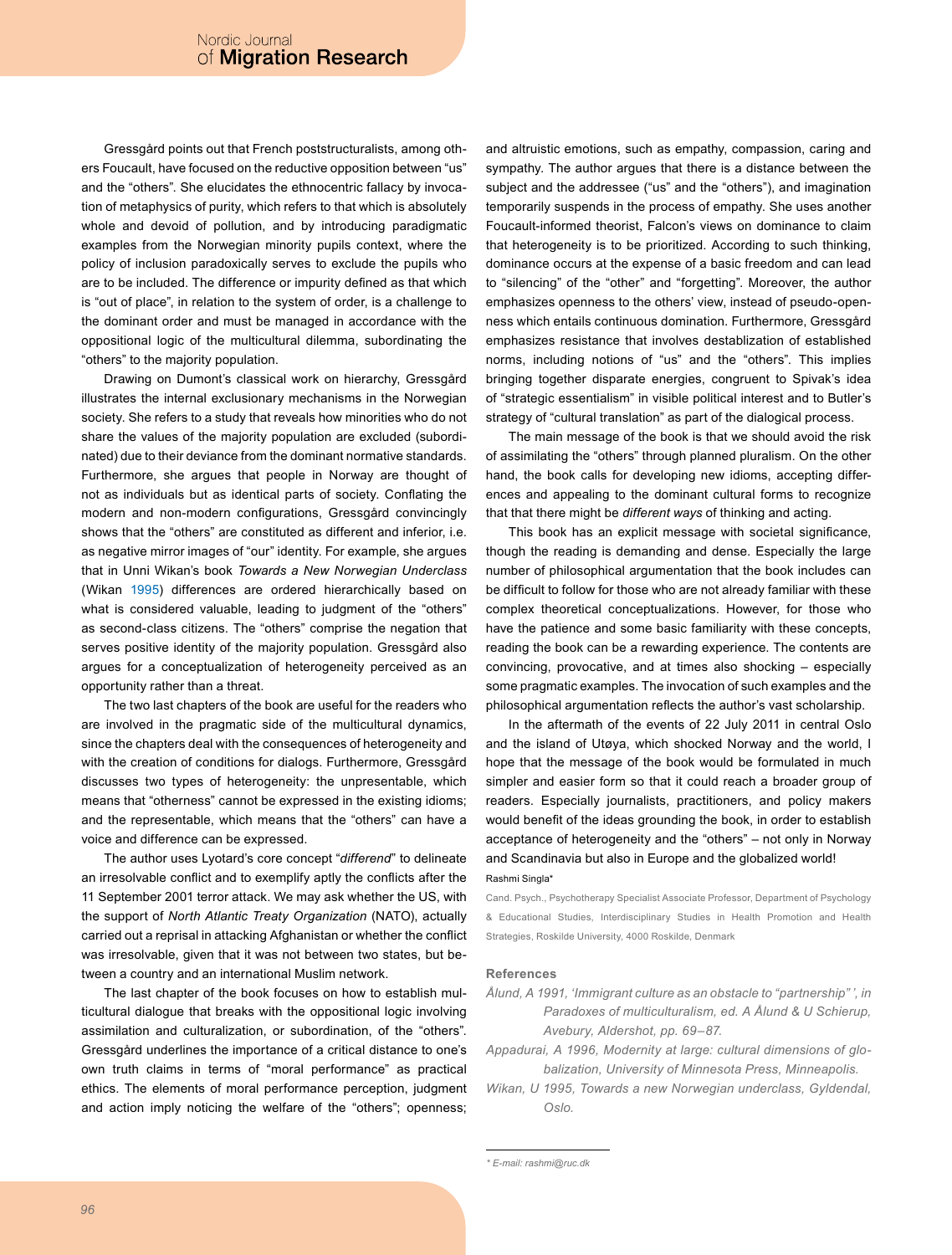Gressgård points out that French poststructuralists, among others Foucault, have focused on the reductive opposition between "us" and the "others". She elucidates the ethnocentric fallacy by invocation of metaphysics of purity, which refers to that which is absolutely whole and devoid of pollution, and by introducing paradigmatic examples from the Norwegian minority pupils context, where the policy of inclusion paradoxically serves to exclude the pupils who are to be included. The difference or impurity defined as that which is "out of place", in relation to the system of order, is a challenge to the dominant order and must be managed in accordance with the oppositional logic of the multicultural dilemma, subordinating the "others" to the majority population.

Drawing on Dumont's classical work on hierarchy, Gressgård illustrates the internal exclusionary mechanisms in the Norwegian society. She refers to a study that reveals how minorities who do not share the values of the majority population are excluded (subordinated) due to their deviance from the dominant normative standards. Furthermore, she argues that people in Norway are thought of not as individuals but as identical parts of society. Conflating the modern and non-modern configurations, Gressgård convincingly shows that the "others" are constituted as different and inferior, i.e. as negative mirror images of "our" identity. For example, she argues that in Unni Wikan's book *Towards a New Norwegian Underclass* (Wikan [1995\)](#page-7-2) differences are ordered hierarchically based on what is considered valuable, leading to judgment of the "others" as second-class citizens. The "others" comprise the negation that serves positive identity of the majority population. Gressgård also argues for a conceptualization of heterogeneity perceived as an opportunity rather than a threat.

The two last chapters of the book are useful for the readers who are involved in the pragmatic side of the multicultural dynamics, since the chapters deal with the consequences of heterogeneity and with the creation of conditions for dialogs. Furthermore, Gressgård discusses two types of heterogeneity: the unpresentable, which means that "otherness" cannot be expressed in the existing idioms; and the representable, which means that the "others" can have a voice and difference can be expressed.

The author uses Lyotard's core concept "*differend*" to delineate an irresolvable conflict and to exemplify aptly the conflicts after the 11 September 2001 terror attack. We may ask whether the US, with the support of *North Atlantic Treaty Organization* (NATO), actually carried out a reprisal in attacking Afghanistan or whether the conflict was irresolvable, given that it was not between two states, but between a country and an international Muslim network.

The last chapter of the book focuses on how to establish multicultural dialogue that breaks with the oppositional logic involving assimilation and culturalization, or subordination, of the "others". Gressgård underlines the importance of a critical distance to one's own truth claims in terms of "moral performance" as practical ethics. The elements of moral performance perception, judgment and action imply noticing the welfare of the "others"; openness;

and altruistic emotions, such as empathy, compassion, caring and sympathy. The author argues that there is a distance between the subject and the addressee ("us" and the "others"), and imagination temporarily suspends in the process of empathy. She uses another Foucault-informed theorist, Falcon's views on dominance to claim that heterogeneity is to be prioritized. According to such thinking, dominance occurs at the expense of a basic freedom and can lead to "silencing" of the "other" and "forgetting". Moreover, the author emphasizes openness to the others' view, instead of pseudo-openness which entails continuous domination. Furthermore, Gressgård emphasizes resistance that involves destablization of established norms, including notions of "us" and the "others". This implies bringing together disparate energies, congruent to Spivak's idea of "strategic essentialism" in visible political interest and to Butler's strategy of "cultural translation" as part of the dialogical process.

The main message of the book is that we should avoid the risk of assimilating the "others" through planned pluralism. On the other hand, the book calls for developing new idioms, accepting differences and appealing to the dominant cultural forms to recognize that that there might be *different ways* of thinking and acting.

This book has an explicit message with societal significance, though the reading is demanding and dense. Especially the large number of philosophical argumentation that the book includes can be difficult to follow for those who are not already familiar with these complex theoretical conceptualizations. However, for those who have the patience and some basic familiarity with these concepts, reading the book can be a rewarding experience. The contents are convincing, provocative, and at times also shocking – especially some pragmatic examples. The invocation of such examples and the philosophical argumentation reflects the author's vast scholarship.

In the aftermath of the events of 22 July 2011 in central Oslo and the island of Utøya, which shocked Norway and the world, I hope that the message of the book would be formulated in much simpler and easier form so that it could reach a broader group of readers. Especially journalists, practitioners, and policy makers would benefit of the ideas grounding the book, in order to establish acceptance of heterogeneity and the "others" – not only in Norway and Scandinavia but also in Europe and the globalized world! Rashmi Singla\*

Cand. Psych., Psychotherapy Specialist Associate Professor, Department of Psychology & Educational Studies, Interdisciplinary Studies in Health Promotion and Health Strategies, Roskilde University, 4000 Roskilde, Denmark

#### **References**

<span id="page-7-1"></span>*Ålund, A 1991, 'Immigrant culture as an obstacle to "partnership" ', in Paradoxes of multiculturalism, ed. A Ålund & U Schierup, Avebury, Aldershot, pp. 69–87.*

- <span id="page-7-0"></span>*Appadurai, A 1996, Modernity at large: cultural dimensions of globalization, University of Minnesota Press, Minneapolis.*
- <span id="page-7-2"></span>*Wikan, U 1995, Towards a new Norwegian underclass, Gyldendal, Oslo.*

*<sup>\*</sup> E-mail: rashmi@ruc.dk*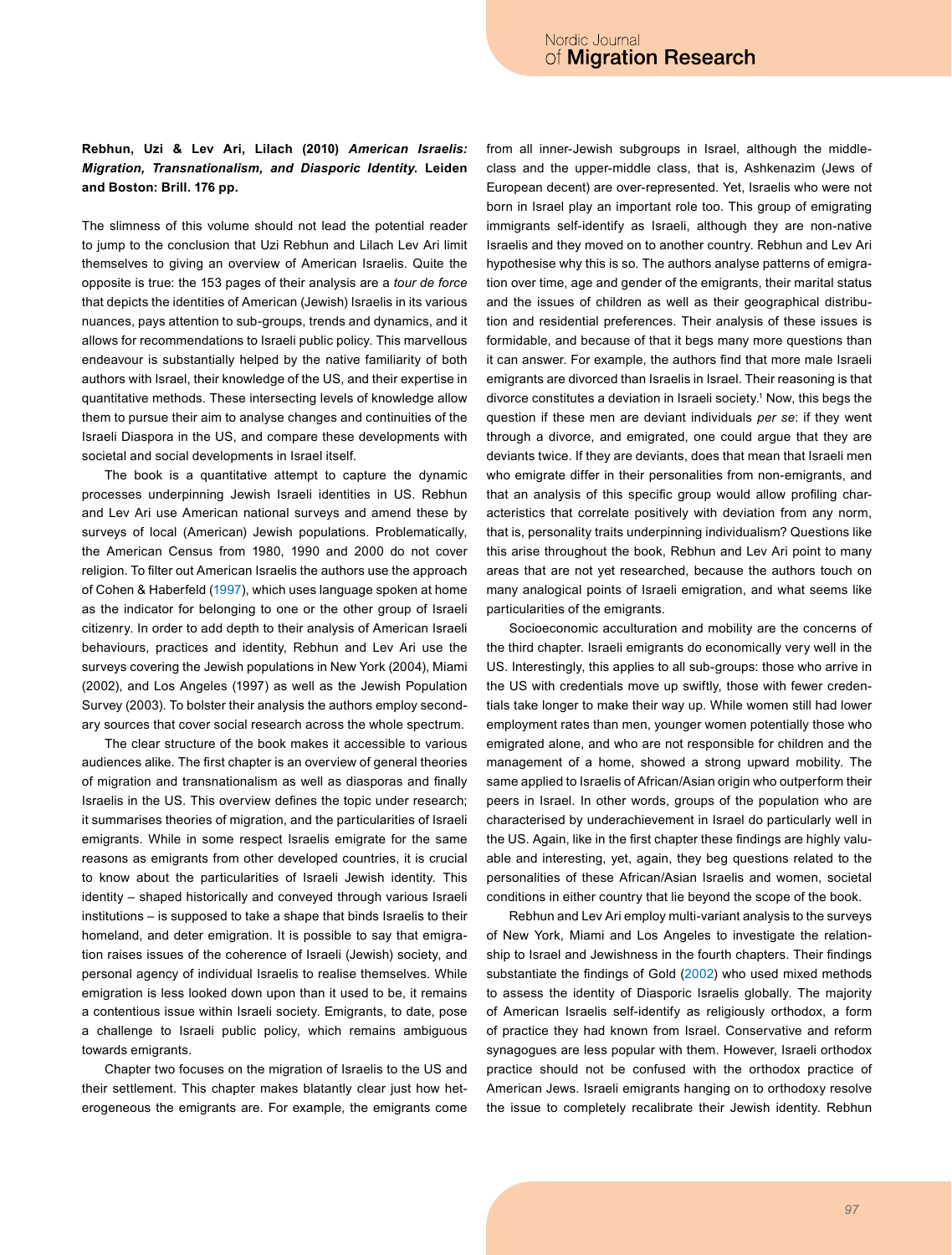## **Rebhun, Uzi & Lev Ari, Lilach (2010)** *American Israelis: Migration, Transnationalism, and Diasporic Identity.* **Leiden and Boston: Brill. 176 pp.**

The slimness of this volume should not lead the potential reader to jump to the conclusion that Uzi Rebhun and Lilach Lev Ari limit themselves to giving an overview of American Israelis. Quite the opposite is true: the 153 pages of their analysis are a *tour de force* that depicts the identities of American (Jewish) Israelis in its various nuances, pays attention to sub-groups, trends and dynamics, and it allows for recommendations to Israeli public policy. This marvellous endeavour is substantially helped by the native familiarity of both authors with Israel, their knowledge of the US, and their expertise in quantitative methods. These intersecting levels of knowledge allow them to pursue their aim to analyse changes and continuities of the Israeli Diaspora in the US, and compare these developments with societal and social developments in Israel itself.

The book is a quantitative attempt to capture the dynamic processes underpinning Jewish Israeli identities in US. Rebhun and Lev Ari use American national surveys and amend these by surveys of local (American) Jewish populations. Problematically, the American Census from 1980, 1990 and 2000 do not cover religion. To filter out American Israelis the authors use the approach of Cohen & Haberfeld [\(1997](#page-9-0)), which uses language spoken at home as the indicator for belonging to one or the other group of Israeli citizenry. In order to add depth to their analysis of American Israeli behaviours, practices and identity, Rebhun and Lev Ari use the surveys covering the Jewish populations in New York (2004), Miami (2002), and Los Angeles (1997) as well as the Jewish Population Survey (2003). To bolster their analysis the authors employ secondary sources that cover social research across the whole spectrum.

The clear structure of the book makes it accessible to various audiences alike. The first chapter is an overview of general theories of migration and transnationalism as well as diasporas and finally Israelis in the US. This overview defines the topic under research; it summarises theories of migration, and the particularities of Israeli emigrants. While in some respect Israelis emigrate for the same reasons as emigrants from other developed countries, it is crucial to know about the particularities of Israeli Jewish identity. This identity – shaped historically and conveyed through various Israeli institutions – is supposed to take a shape that binds Israelis to their homeland, and deter emigration. It is possible to say that emigration raises issues of the coherence of Israeli (Jewish) society, and personal agency of individual Israelis to realise themselves. While emigration is less looked down upon than it used to be, it remains a contentious issue within Israeli society. Emigrants, to date, pose a challenge to Israeli public policy, which remains ambiguous towards emigrants.

Chapter two focuses on the migration of Israelis to the US and their settlement. This chapter makes blatantly clear just how heterogeneous the emigrants are. For example, the emigrants come from all inner-Jewish subgroups in Israel, although the middleclass and the upper-middle class, that is, Ashkenazim (Jews of European decent) are over-represented. Yet, Israelis who were not born in Israel play an important role too. This group of emigrating immigrants self-identify as Israeli, although they are non-native Israelis and they moved on to another country. Rebhun and Lev Ari hypothesise why this is so. The authors analyse patterns of emigration over time, age and gender of the emigrants, their marital status and the issues of children as well as their geographical distribution and residential preferences. Their analysis of these issues is formidable, and because of that it begs many more questions than it can answer. For example, the authors find that more male Israeli emigrants are divorced than Israelis in Israel. Their reasoning is that divorce constitutes a deviation in Israeli society[.1](#page-9-1) Now, this begs the question if these men are deviant individuals *per se*: if they went through a divorce, and emigrated, one could argue that they are deviants twice. If they are deviants, does that mean that Israeli men who emigrate differ in their personalities from non-emigrants, and that an analysis of this specific group would allow profiling characteristics that correlate positively with deviation from any norm, that is, personality traits underpinning individualism? Questions like this arise throughout the book, Rebhun and Lev Ari point to many areas that are not yet researched, because the authors touch on many analogical points of Israeli emigration, and what seems like particularities of the emigrants.

Socioeconomic acculturation and mobility are the concerns of the third chapter. Israeli emigrants do economically very well in the US. Interestingly, this applies to all sub-groups: those who arrive in the US with credentials move up swiftly, those with fewer credentials take longer to make their way up. While women still had lower employment rates than men, younger women potentially those who emigrated alone, and who are not responsible for children and the management of a home, showed a strong upward mobility. The same applied to Israelis of African/Asian origin who outperform their peers in Israel. In other words, groups of the population who are characterised by underachievement in Israel do particularly well in the US. Again, like in the first chapter these findings are highly valuable and interesting, yet, again, they beg questions related to the personalities of these African/Asian Israelis and women, societal conditions in either country that lie beyond the scope of the book.

Rebhun and Lev Ari employ multi-variant analysis to the surveys of New York, Miami and Los Angeles to investigate the relationship to Israel and Jewishness in the fourth chapters. Their findings substantiate the findings of Gold [\(2002](#page-9-2)) who used mixed methods to assess the identity of Diasporic Israelis globally. The majority of American Israelis self-identify as religiously orthodox, a form of practice they had known from Israel. Conservative and reform synagogues are less popular with them. However, Israeli orthodox practice should not be confused with the orthodox practice of American Jews. Israeli emigrants hanging on to orthodoxy resolve the issue to completely recalibrate their Jewish identity. Rebhun